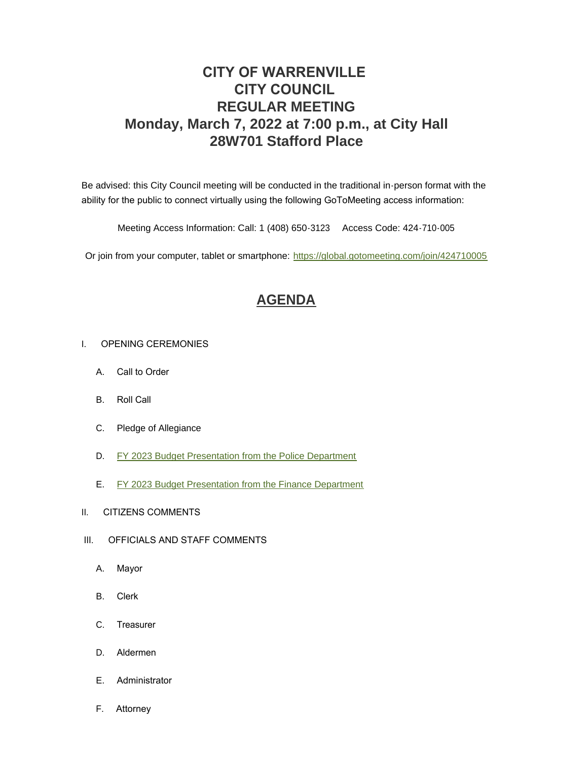# **CITY OF WARRENVILLE CITY COUNCIL REGULAR MEETING Monday, March 7, 2022 at 7:00 p.m., at City Hall 28W701 Stafford Place**

Be advised: this City Council meeting will be conducted in the traditional in-person format with the ability for the public to connect virtually using the following GoToMeeting access information:

Meeting Access Information: Call: 1 (408) 650-3123 Access Code: 424-710-005

Or join from your computer, tablet or smartphone: <https://global.gotomeeting.com/join/424710005>

## **[AGENDA](https://www.warrenville.il.us/DocumentCenter/View/18801/03-07-22-Agenda-Packet-PDF)**

#### I. OPENING CEREMONIES

- A. Call to Order
- B. Roll Call
- C. Pledge of Allegiance
- D. [FY 2023 Budget Presentation from the Police Department](https://www.warrenville.il.us/DocumentCenter/View/18804/ID-FY-23-Police-Budget-Presentation-PDF)
- E. [FY 2023 Budget Presentation from the Finance Department](https://www.warrenville.il.us/DocumentCenter/View/18805/IE-FY-23-Finance-Budget-Presentation-PDF)
- II. CITIZENS COMMENTS
- III. OFFICIALS AND STAFF COMMENTS
	- A. Mayor
	- B. Clerk
	- C. Treasurer
	- D. Aldermen
	- E. Administrator
	- F. Attorney